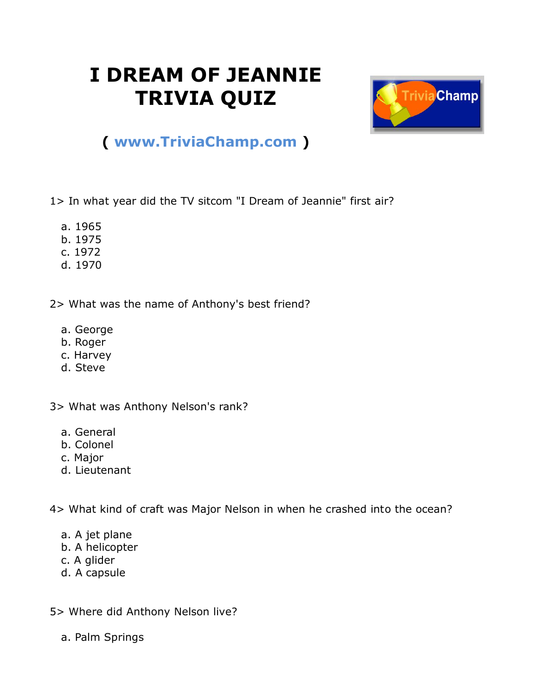## **I DREAM OF JEANNIE TRIVIA QUIZ**



## **( [www.TriviaChamp.com](http://www.triviachamp.com/) )**

1> In what year did the TV sitcom "I Dream of Jeannie" first air?

- a. 1965
- b. 1975
- c. 1972
- d. 1970

2> What was the name of Anthony's best friend?

- a. George
- b. Roger
- c. Harvey
- d. Steve

3> What was Anthony Nelson's rank?

- a. General
- b. Colonel
- c. Major
- d. Lieutenant

4> What kind of craft was Major Nelson in when he crashed into the ocean?

- a. A jet plane
- b. A helicopter
- c. A glider
- d. A capsule
- 5> Where did Anthony Nelson live?
	- a. Palm Springs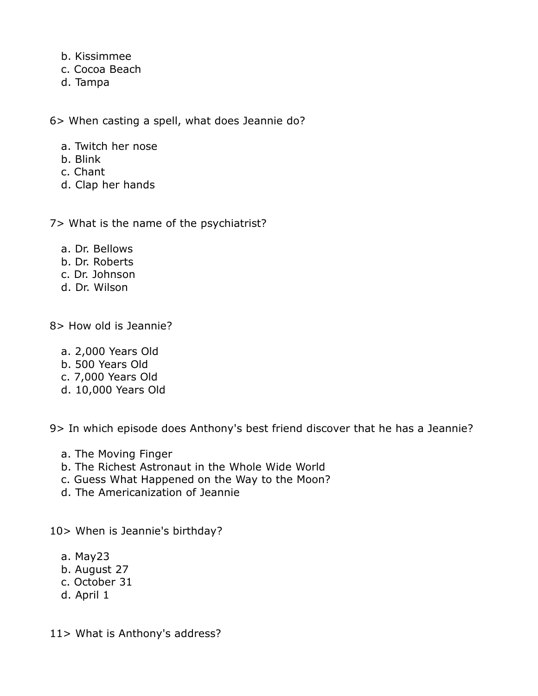- b. Kissimmee
- c. Cocoa Beach
- d. Tampa

6> When casting a spell, what does Jeannie do?

- a. Twitch her nose
- b. Blink
- c. Chant
- d. Clap her hands

7> What is the name of the psychiatrist?

- a. Dr. Bellows
- b. Dr. Roberts
- c. Dr. Johnson
- d. Dr. Wilson

8> How old is Jeannie?

- a. 2,000 Years Old
- b. 500 Years Old
- c. 7,000 Years Old
- d. 10,000 Years Old

9> In which episode does Anthony's best friend discover that he has a Jeannie?

- a. The Moving Finger
- b. The Richest Astronaut in the Whole Wide World
- c. Guess What Happened on the Way to the Moon?
- d. The Americanization of Jeannie

10> When is Jeannie's birthday?

- a. May23
- b. August 27
- c. October 31
- d. April 1

11> What is Anthony's address?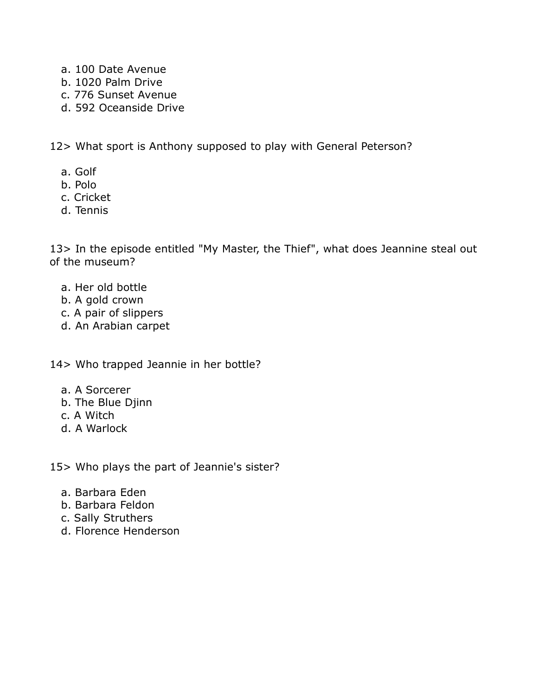- a. 100 Date Avenue
- b. 1020 Palm Drive
- c. 776 Sunset Avenue
- d. 592 Oceanside Drive

12> What sport is Anthony supposed to play with General Peterson?

- a. Golf
- b. Polo
- c. Cricket
- d. Tennis

13> In the episode entitled "My Master, the Thief", what does Jeannine steal out of the museum?

- a. Her old bottle
- b. A gold crown
- c. A pair of slippers
- d. An Arabian carpet

## 14> Who trapped Jeannie in her bottle?

- a. A Sorcerer
- b. The Blue Djinn
- c. A Witch
- d. A Warlock

15> Who plays the part of Jeannie's sister?

- a. Barbara Eden
- b. Barbara Feldon
- c. Sally Struthers
- d. Florence Henderson